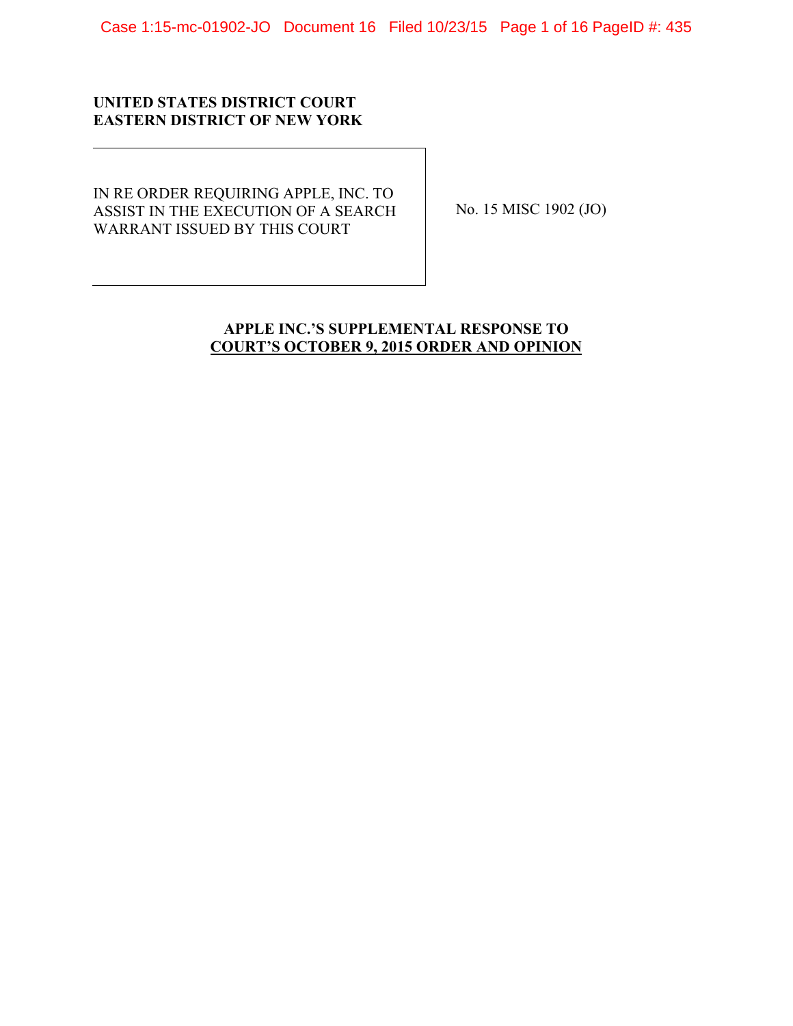Case 1:15-mc-01902-JO Document 16 Filed 10/23/15 Page 1 of 16 PageID #: 435

# **UNITED STATES DISTRICT COURT EASTERN DISTRICT OF NEW YORK**

IN RE ORDER REQUIRING APPLE, INC. TO ASSIST IN THE EXECUTION OF A SEARCH WARRANT ISSUED BY THIS COURT

No. 15 MISC 1902 (JO)

# **APPLE INC.'S SUPPLEMENTAL RESPONSE TO COURT'S OCTOBER 9, 2015 ORDER AND OPINION**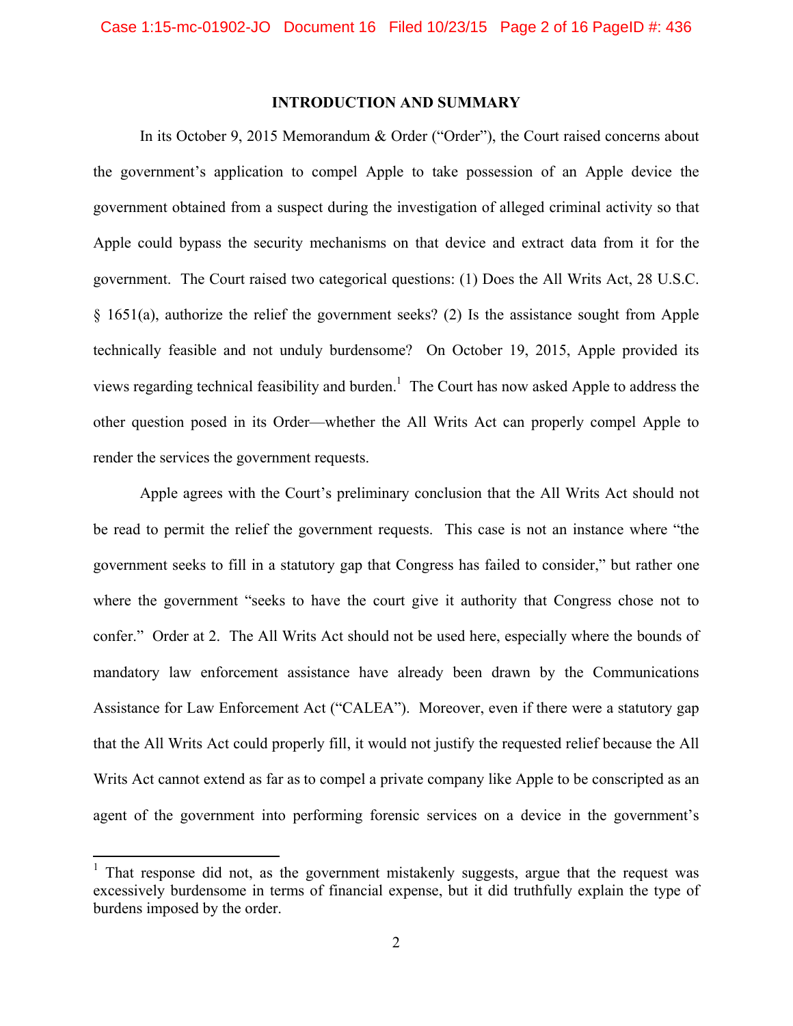### **INTRODUCTION AND SUMMARY**

In its October 9, 2015 Memorandum & Order ("Order"), the Court raised concerns about the government's application to compel Apple to take possession of an Apple device the government obtained from a suspect during the investigation of alleged criminal activity so that Apple could bypass the security mechanisms on that device and extract data from it for the government. The Court raised two categorical questions: (1) Does the All Writs Act, 28 U.S.C. § 1651(a), authorize the relief the government seeks? (2) Is the assistance sought from Apple technically feasible and not unduly burdensome? On October 19, 2015, Apple provided its views regarding technical feasibility and burden.<sup>1</sup> The Court has now asked Apple to address the other question posed in its Order—whether the All Writs Act can properly compel Apple to render the services the government requests.

Apple agrees with the Court's preliminary conclusion that the All Writs Act should not be read to permit the relief the government requests. This case is not an instance where "the government seeks to fill in a statutory gap that Congress has failed to consider," but rather one where the government "seeks to have the court give it authority that Congress chose not to confer." Order at 2. The All Writs Act should not be used here, especially where the bounds of mandatory law enforcement assistance have already been drawn by the Communications Assistance for Law Enforcement Act ("CALEA"). Moreover, even if there were a statutory gap that the All Writs Act could properly fill, it would not justify the requested relief because the All Writs Act cannot extend as far as to compel a private company like Apple to be conscripted as an agent of the government into performing forensic services on a device in the government's

<sup>&</sup>lt;sup>1</sup> That response did not, as the government mistakenly suggests, argue that the request was excessively burdensome in terms of financial expense, but it did truthfully explain the type of burdens imposed by the order.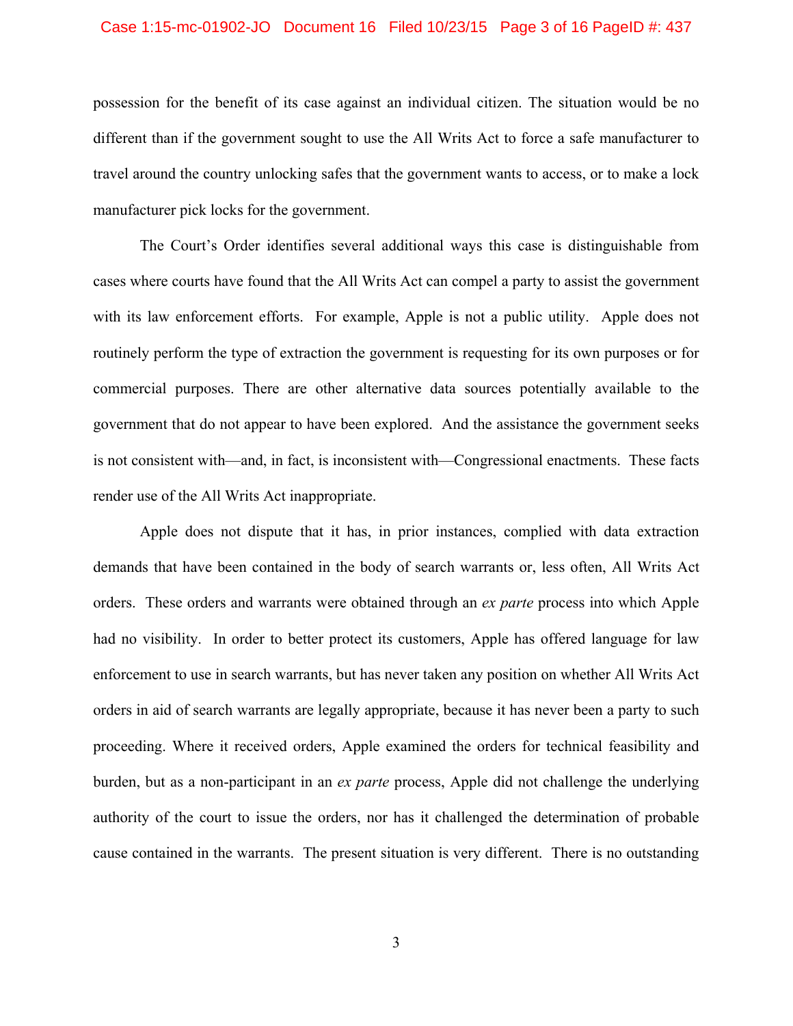### Case 1:15-mc-01902-JO Document 16 Filed 10/23/15 Page 3 of 16 PageID #: 437

possession for the benefit of its case against an individual citizen. The situation would be no different than if the government sought to use the All Writs Act to force a safe manufacturer to travel around the country unlocking safes that the government wants to access, or to make a lock manufacturer pick locks for the government.

The Court's Order identifies several additional ways this case is distinguishable from cases where courts have found that the All Writs Act can compel a party to assist the government with its law enforcement efforts. For example, Apple is not a public utility. Apple does not routinely perform the type of extraction the government is requesting for its own purposes or for commercial purposes. There are other alternative data sources potentially available to the government that do not appear to have been explored. And the assistance the government seeks is not consistent with—and, in fact, is inconsistent with—Congressional enactments. These facts render use of the All Writs Act inappropriate.

Apple does not dispute that it has, in prior instances, complied with data extraction demands that have been contained in the body of search warrants or, less often, All Writs Act orders. These orders and warrants were obtained through an *ex parte* process into which Apple had no visibility. In order to better protect its customers, Apple has offered language for law enforcement to use in search warrants, but has never taken any position on whether All Writs Act orders in aid of search warrants are legally appropriate, because it has never been a party to such proceeding. Where it received orders, Apple examined the orders for technical feasibility and burden, but as a non-participant in an *ex parte* process, Apple did not challenge the underlying authority of the court to issue the orders, nor has it challenged the determination of probable cause contained in the warrants. The present situation is very different. There is no outstanding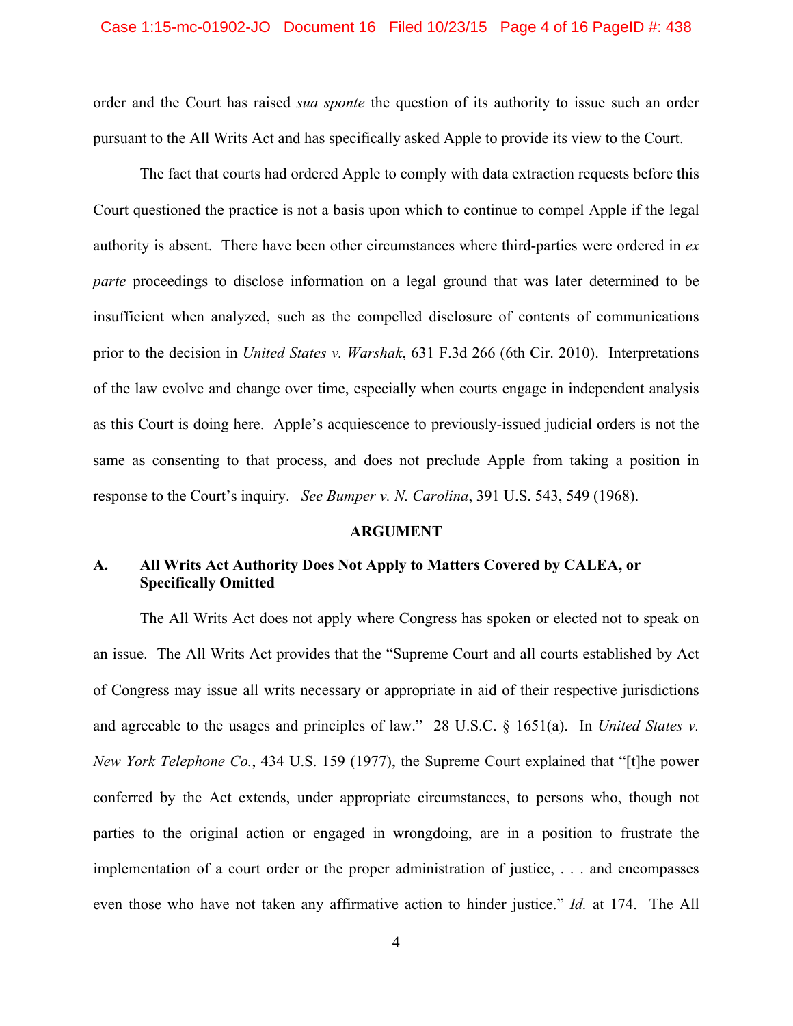### Case 1:15-mc-01902-JO Document 16 Filed 10/23/15 Page 4 of 16 PageID #: 438

order and the Court has raised *sua sponte* the question of its authority to issue such an order pursuant to the All Writs Act and has specifically asked Apple to provide its view to the Court.

The fact that courts had ordered Apple to comply with data extraction requests before this Court questioned the practice is not a basis upon which to continue to compel Apple if the legal authority is absent. There have been other circumstances where third-parties were ordered in *ex parte* proceedings to disclose information on a legal ground that was later determined to be insufficient when analyzed, such as the compelled disclosure of contents of communications prior to the decision in *United States v. Warshak*, 631 F.3d 266 (6th Cir. 2010). Interpretations of the law evolve and change over time, especially when courts engage in independent analysis as this Court is doing here. Apple's acquiescence to previously-issued judicial orders is not the same as consenting to that process, and does not preclude Apple from taking a position in response to the Court's inquiry. *See Bumper v. N. Carolina*, 391 U.S. 543, 549 (1968).

#### **ARGUMENT**

## **A. All Writs Act Authority Does Not Apply to Matters Covered by CALEA, or Specifically Omitted**

The All Writs Act does not apply where Congress has spoken or elected not to speak on an issue. The All Writs Act provides that the "Supreme Court and all courts established by Act of Congress may issue all writs necessary or appropriate in aid of their respective jurisdictions and agreeable to the usages and principles of law." 28 U.S.C. § 1651(a). In *United States v. New York Telephone Co.*, 434 U.S. 159 (1977), the Supreme Court explained that "[t]he power conferred by the Act extends, under appropriate circumstances, to persons who, though not parties to the original action or engaged in wrongdoing, are in a position to frustrate the implementation of a court order or the proper administration of justice, . . . and encompasses even those who have not taken any affirmative action to hinder justice." *Id.* at 174. The All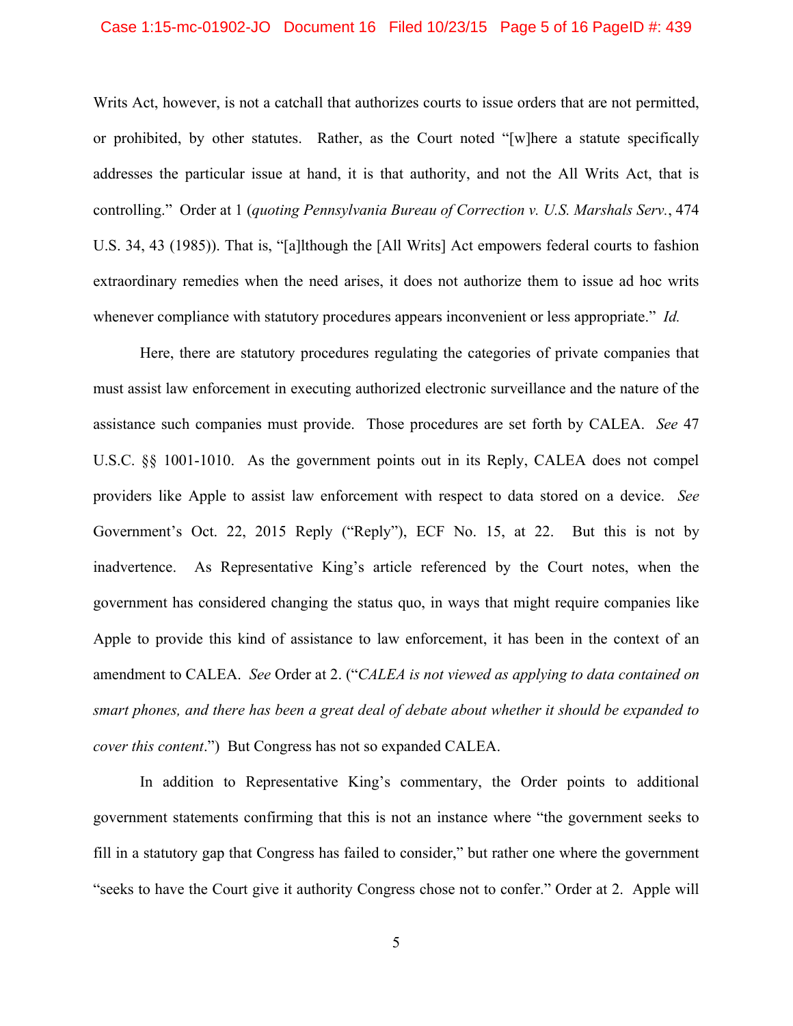### Case 1:15-mc-01902-JO Document 16 Filed 10/23/15 Page 5 of 16 PageID #: 439

Writs Act, however, is not a catchall that authorizes courts to issue orders that are not permitted, or prohibited, by other statutes. Rather, as the Court noted "[w]here a statute specifically addresses the particular issue at hand, it is that authority, and not the All Writs Act, that is controlling." Order at 1 (*quoting Pennsylvania Bureau of Correction v. U.S. Marshals Serv.*, 474 U.S. 34, 43 (1985)). That is, "[a]lthough the [All Writs] Act empowers federal courts to fashion extraordinary remedies when the need arises, it does not authorize them to issue ad hoc writs whenever compliance with statutory procedures appears inconvenient or less appropriate." *Id.* 

Here, there are statutory procedures regulating the categories of private companies that must assist law enforcement in executing authorized electronic surveillance and the nature of the assistance such companies must provide. Those procedures are set forth by CALEA. *See* 47 U.S.C. §§ 1001-1010. As the government points out in its Reply, CALEA does not compel providers like Apple to assist law enforcement with respect to data stored on a device. *See*  Government's Oct. 22, 2015 Reply ("Reply"), ECF No. 15, at 22. But this is not by inadvertence. As Representative King's article referenced by the Court notes, when the government has considered changing the status quo, in ways that might require companies like Apple to provide this kind of assistance to law enforcement, it has been in the context of an amendment to CALEA. *See* Order at 2. ("*CALEA is not viewed as applying to data contained on smart phones, and there has been a great deal of debate about whether it should be expanded to cover this content*.") But Congress has not so expanded CALEA.

In addition to Representative King's commentary, the Order points to additional government statements confirming that this is not an instance where "the government seeks to fill in a statutory gap that Congress has failed to consider," but rather one where the government "seeks to have the Court give it authority Congress chose not to confer." Order at 2. Apple will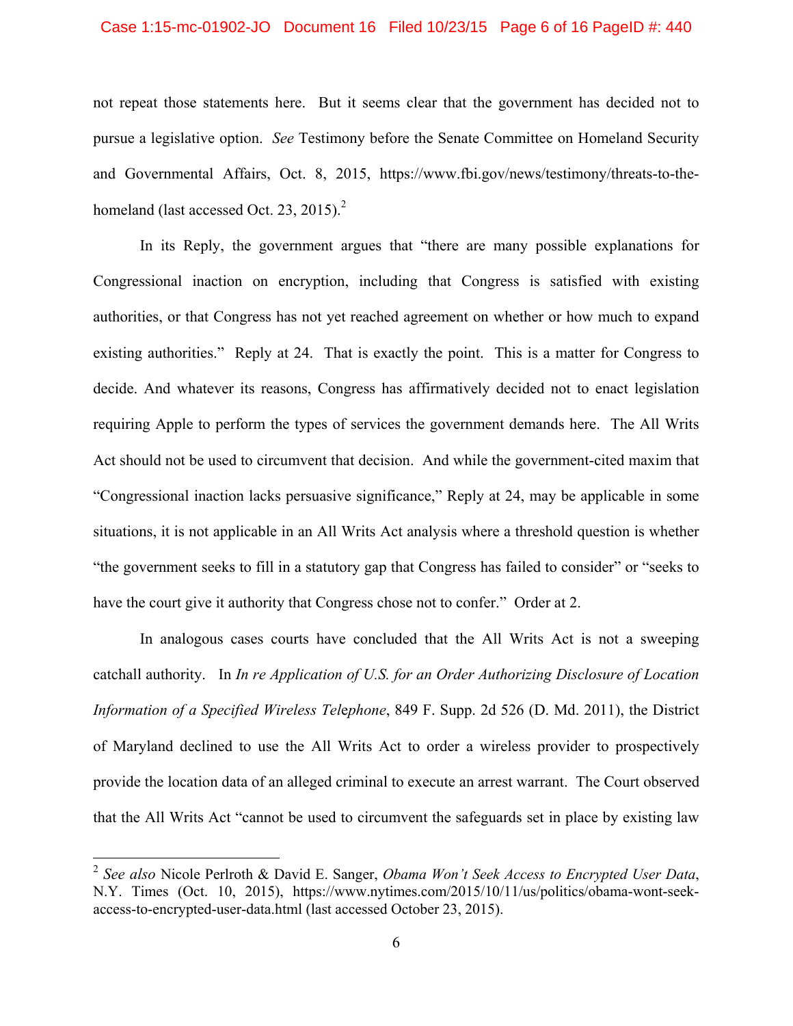### Case 1:15-mc-01902-JO Document 16 Filed 10/23/15 Page 6 of 16 PageID #: 440

not repeat those statements here. But it seems clear that the government has decided not to pursue a legislative option. *See* Testimony before the Senate Committee on Homeland Security and Governmental Affairs, Oct. 8, 2015, https://www.fbi.gov/news/testimony/threats-to-thehomeland (last accessed Oct. 23, 2015). $^2$ 

In its Reply, the government argues that "there are many possible explanations for Congressional inaction on encryption, including that Congress is satisfied with existing authorities, or that Congress has not yet reached agreement on whether or how much to expand existing authorities." Reply at 24. That is exactly the point. This is a matter for Congress to decide. And whatever its reasons, Congress has affirmatively decided not to enact legislation requiring Apple to perform the types of services the government demands here. The All Writs Act should not be used to circumvent that decision. And while the government-cited maxim that "Congressional inaction lacks persuasive significance," Reply at 24, may be applicable in some situations, it is not applicable in an All Writs Act analysis where a threshold question is whether "the government seeks to fill in a statutory gap that Congress has failed to consider" or "seeks to have the court give it authority that Congress chose not to confer." Order at 2.

In analogous cases courts have concluded that the All Writs Act is not a sweeping catchall authority. In *In re Application of U.S. for an Order Authorizing Disclosure of Location Information of a Specified Wireless Tel*e*phone*, 849 F. Supp. 2d 526 (D. Md. 2011), the District of Maryland declined to use the All Writs Act to order a wireless provider to prospectively provide the location data of an alleged criminal to execute an arrest warrant. The Court observed that the All Writs Act "cannot be used to circumvent the safeguards set in place by existing law

<sup>2</sup> *See also* Nicole Perlroth & David E. Sanger, *Obama Won't Seek Access to Encrypted User Data*, N.Y. Times (Oct. 10, 2015), https://www.nytimes.com/2015/10/11/us/politics/obama-wont-seekaccess-to-encrypted-user-data.html (last accessed October 23, 2015).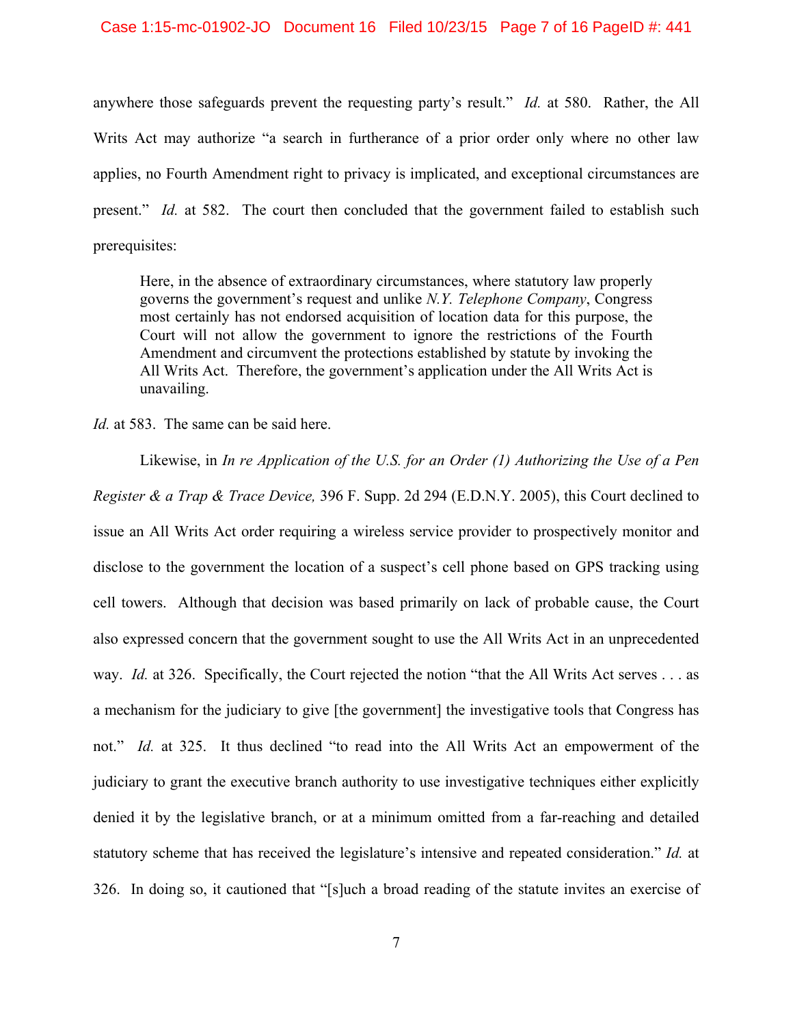### Case 1:15-mc-01902-JO Document 16 Filed 10/23/15 Page 7 of 16 PageID #: 441

anywhere those safeguards prevent the requesting party's result." *Id.* at 580. Rather, the All Writs Act may authorize "a search in furtherance of a prior order only where no other law applies, no Fourth Amendment right to privacy is implicated, and exceptional circumstances are present." *Id.* at 582. The court then concluded that the government failed to establish such prerequisites:

Here, in the absence of extraordinary circumstances, where statutory law properly governs the government's request and unlike *N.Y. Telephone Company*, Congress most certainly has not endorsed acquisition of location data for this purpose, the Court will not allow the government to ignore the restrictions of the Fourth Amendment and circumvent the protections established by statute by invoking the All Writs Act. Therefore, the government's application under the All Writs Act is unavailing.

*Id.* at 583. The same can be said here.

Likewise, in *In re Application of the U.S. for an Order (1) Authorizing the Use of a Pen Register & a Trap & Trace Device,* 396 F. Supp. 2d 294 (E.D.N.Y. 2005), this Court declined to issue an All Writs Act order requiring a wireless service provider to prospectively monitor and disclose to the government the location of a suspect's cell phone based on GPS tracking using cell towers. Although that decision was based primarily on lack of probable cause, the Court also expressed concern that the government sought to use the All Writs Act in an unprecedented way. *Id.* at 326. Specifically, the Court rejected the notion "that the All Writs Act serves . . . as a mechanism for the judiciary to give [the government] the investigative tools that Congress has not." *Id.* at 325. It thus declined "to read into the All Writs Act an empowerment of the judiciary to grant the executive branch authority to use investigative techniques either explicitly denied it by the legislative branch, or at a minimum omitted from a far-reaching and detailed statutory scheme that has received the legislature's intensive and repeated consideration." *Id.* at 326. In doing so, it cautioned that "[s]uch a broad reading of the statute invites an exercise of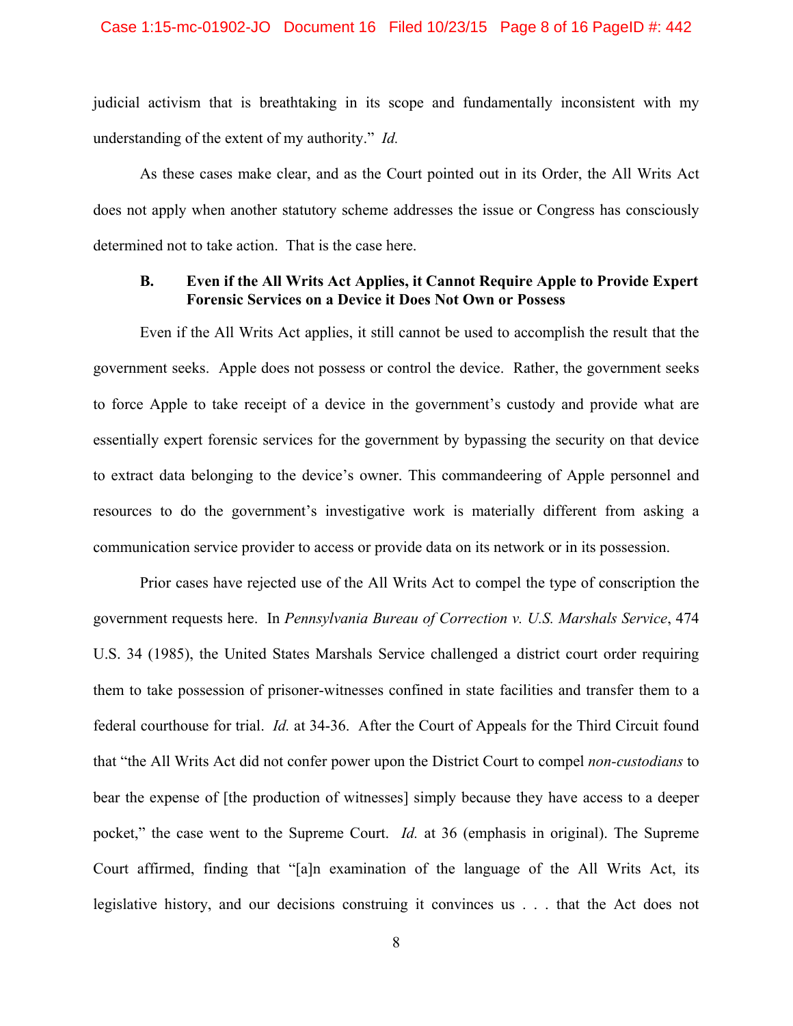judicial activism that is breathtaking in its scope and fundamentally inconsistent with my understanding of the extent of my authority." *Id.* 

As these cases make clear, and as the Court pointed out in its Order, the All Writs Act does not apply when another statutory scheme addresses the issue or Congress has consciously determined not to take action. That is the case here.

## **B. Even if the All Writs Act Applies, it Cannot Require Apple to Provide Expert Forensic Services on a Device it Does Not Own or Possess**

Even if the All Writs Act applies, it still cannot be used to accomplish the result that the government seeks. Apple does not possess or control the device. Rather, the government seeks to force Apple to take receipt of a device in the government's custody and provide what are essentially expert forensic services for the government by bypassing the security on that device to extract data belonging to the device's owner. This commandeering of Apple personnel and resources to do the government's investigative work is materially different from asking a communication service provider to access or provide data on its network or in its possession.

Prior cases have rejected use of the All Writs Act to compel the type of conscription the government requests here. In *Pennsylvania Bureau of Correction v. U.S. Marshals Service*, 474 U.S. 34 (1985), the United States Marshals Service challenged a district court order requiring them to take possession of prisoner-witnesses confined in state facilities and transfer them to a federal courthouse for trial. *Id.* at 34-36. After the Court of Appeals for the Third Circuit found that "the All Writs Act did not confer power upon the District Court to compel *non-custodians* to bear the expense of [the production of witnesses] simply because they have access to a deeper pocket," the case went to the Supreme Court. *Id.* at 36 (emphasis in original). The Supreme Court affirmed, finding that "[a]n examination of the language of the All Writs Act, its legislative history, and our decisions construing it convinces us . . . that the Act does not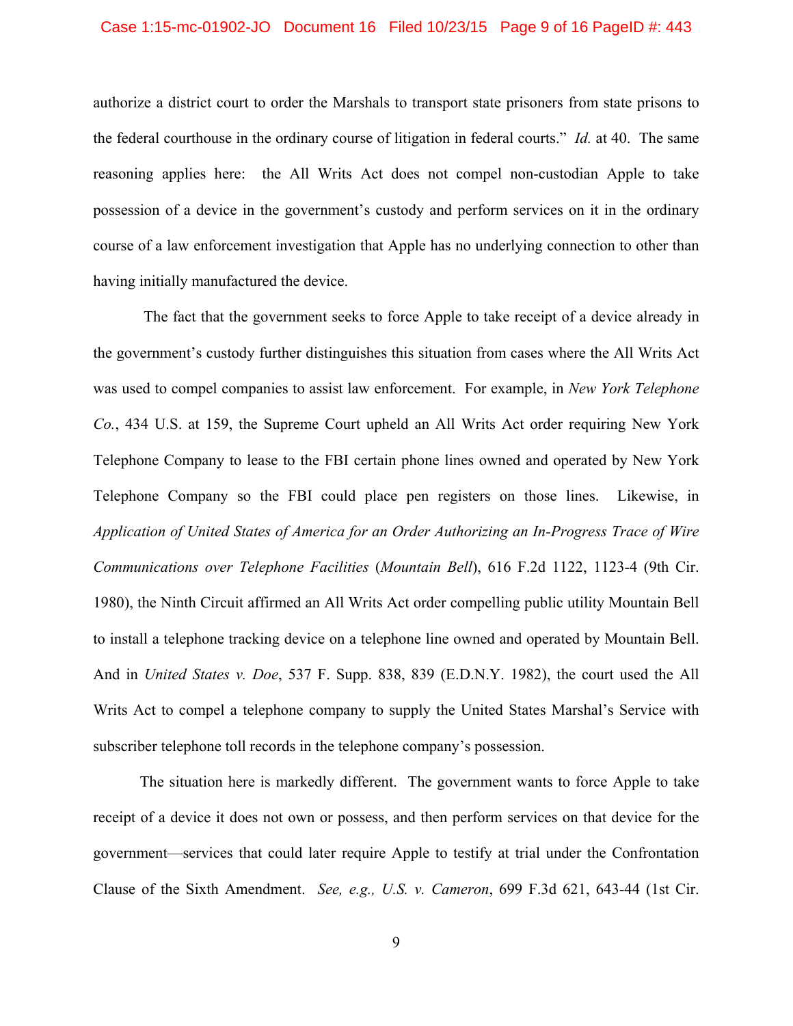### Case 1:15-mc-01902-JO Document 16 Filed 10/23/15 Page 9 of 16 PageID #: 443

authorize a district court to order the Marshals to transport state prisoners from state prisons to the federal courthouse in the ordinary course of litigation in federal courts." *Id.* at 40. The same reasoning applies here: the All Writs Act does not compel non-custodian Apple to take possession of a device in the government's custody and perform services on it in the ordinary course of a law enforcement investigation that Apple has no underlying connection to other than having initially manufactured the device.

 The fact that the government seeks to force Apple to take receipt of a device already in the government's custody further distinguishes this situation from cases where the All Writs Act was used to compel companies to assist law enforcement. For example, in *New York Telephone Co.*, 434 U.S. at 159, the Supreme Court upheld an All Writs Act order requiring New York Telephone Company to lease to the FBI certain phone lines owned and operated by New York Telephone Company so the FBI could place pen registers on those lines. Likewise, in *Application of United States of America for an Order Authorizing an In-Progress Trace of Wire Communications over Telephone Facilities* (*Mountain Bell*), 616 F.2d 1122, 1123-4 (9th Cir. 1980), the Ninth Circuit affirmed an All Writs Act order compelling public utility Mountain Bell to install a telephone tracking device on a telephone line owned and operated by Mountain Bell. And in *United States v. Doe*, 537 F. Supp. 838, 839 (E.D.N.Y. 1982), the court used the All Writs Act to compel a telephone company to supply the United States Marshal's Service with subscriber telephone toll records in the telephone company's possession.

The situation here is markedly different. The government wants to force Apple to take receipt of a device it does not own or possess, and then perform services on that device for the government—services that could later require Apple to testify at trial under the Confrontation Clause of the Sixth Amendment. *See, e.g., U.S. v. Cameron*, 699 F.3d 621, 643-44 (1st Cir.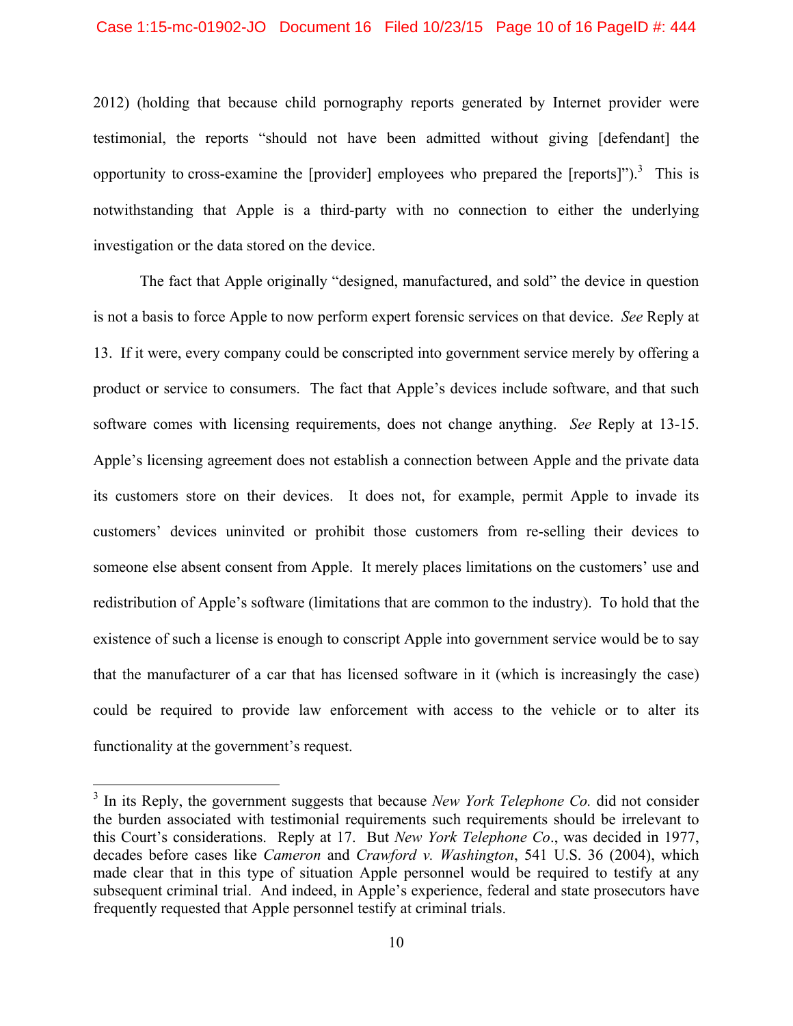#### Case 1:15-mc-01902-JO Document 16 Filed 10/23/15 Page 10 of 16 PageID #: 444

2012) (holding that because child pornography reports generated by Internet provider were testimonial, the reports "should not have been admitted without giving [defendant] the opportunity to cross-examine the [provider] employees who prepared the [reports]").<sup>3</sup> This is notwithstanding that Apple is a third-party with no connection to either the underlying investigation or the data stored on the device.

The fact that Apple originally "designed, manufactured, and sold" the device in question is not a basis to force Apple to now perform expert forensic services on that device. *See* Reply at 13. If it were, every company could be conscripted into government service merely by offering a product or service to consumers. The fact that Apple's devices include software, and that such software comes with licensing requirements, does not change anything. *See* Reply at 13-15. Apple's licensing agreement does not establish a connection between Apple and the private data its customers store on their devices. It does not, for example, permit Apple to invade its customers' devices uninvited or prohibit those customers from re-selling their devices to someone else absent consent from Apple. It merely places limitations on the customers' use and redistribution of Apple's software (limitations that are common to the industry). To hold that the existence of such a license is enough to conscript Apple into government service would be to say that the manufacturer of a car that has licensed software in it (which is increasingly the case) could be required to provide law enforcement with access to the vehicle or to alter its functionality at the government's request.

1

<sup>&</sup>lt;sup>3</sup> In its Reply, the government suggests that because *New York Telephone Co*. did not consider the burden associated with testimonial requirements such requirements should be irrelevant to this Court's considerations. Reply at 17. But *New York Telephone Co*., was decided in 1977, decades before cases like *Cameron* and *Crawford v. Washington*, 541 U.S. 36 (2004), which made clear that in this type of situation Apple personnel would be required to testify at any subsequent criminal trial. And indeed, in Apple's experience, federal and state prosecutors have frequently requested that Apple personnel testify at criminal trials.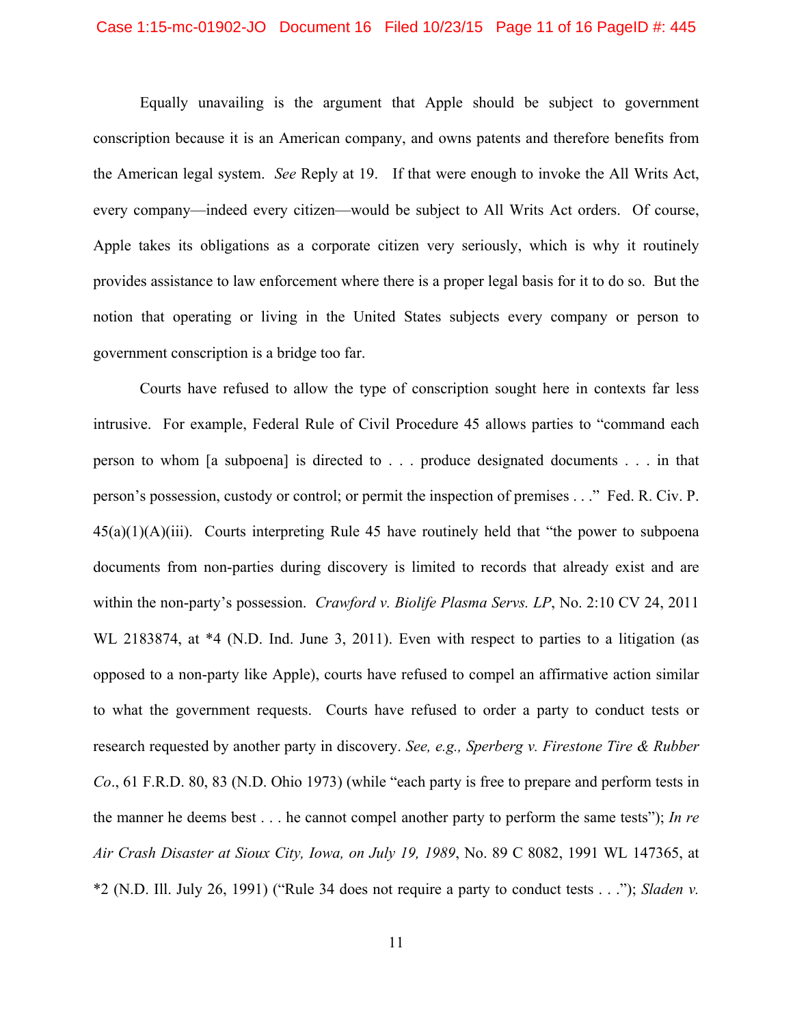### Case 1:15-mc-01902-JO Document 16 Filed 10/23/15 Page 11 of 16 PageID #: 445

Equally unavailing is the argument that Apple should be subject to government conscription because it is an American company, and owns patents and therefore benefits from the American legal system. *See* Reply at 19. If that were enough to invoke the All Writs Act, every company—indeed every citizen—would be subject to All Writs Act orders. Of course, Apple takes its obligations as a corporate citizen very seriously, which is why it routinely provides assistance to law enforcement where there is a proper legal basis for it to do so. But the notion that operating or living in the United States subjects every company or person to government conscription is a bridge too far.

Courts have refused to allow the type of conscription sought here in contexts far less intrusive. For example, Federal Rule of Civil Procedure 45 allows parties to "command each person to whom [a subpoena] is directed to . . . produce designated documents . . . in that person's possession, custody or control; or permit the inspection of premises . . ." Fed. R. Civ. P.  $45(a)(1)(A)(iii)$ . Courts interpreting Rule 45 have routinely held that "the power to subpoena" documents from non-parties during discovery is limited to records that already exist and are within the non-party's possession. *Crawford v. Biolife Plasma Servs. LP*, No. 2:10 CV 24, 2011 WL 2183874, at  $*4$  (N.D. Ind. June 3, 2011). Even with respect to parties to a litigation (as opposed to a non-party like Apple), courts have refused to compel an affirmative action similar to what the government requests. Courts have refused to order a party to conduct tests or research requested by another party in discovery. *See, e.g., Sperberg v. Firestone Tire & Rubber Co*., 61 F.R.D. 80, 83 (N.D. Ohio 1973) (while "each party is free to prepare and perform tests in the manner he deems best . . . he cannot compel another party to perform the same tests"); *In re Air Crash Disaster at Sioux City, Iowa, on July 19, 1989*, No. 89 C 8082, 1991 WL 147365, at \*2 (N.D. Ill. July 26, 1991) ("Rule 34 does not require a party to conduct tests . . ."); *Sladen v.*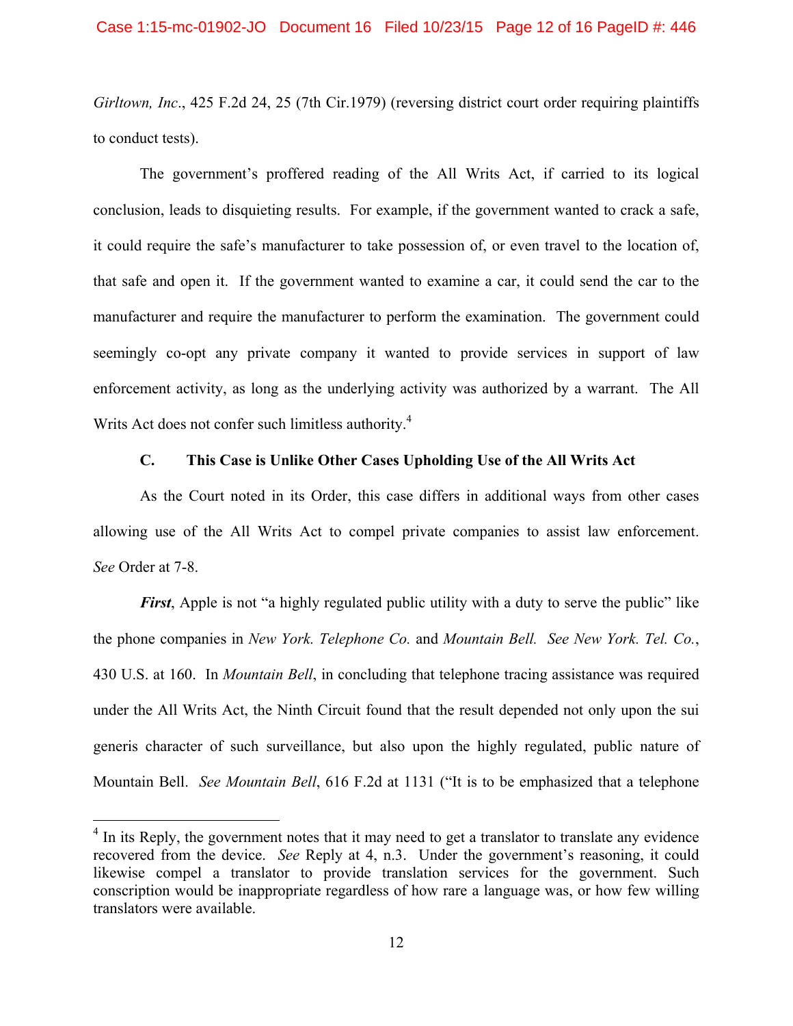*Girltown, Inc*., 425 F.2d 24, 25 (7th Cir.1979) (reversing district court order requiring plaintiffs to conduct tests).

 The government's proffered reading of the All Writs Act, if carried to its logical conclusion, leads to disquieting results. For example, if the government wanted to crack a safe, it could require the safe's manufacturer to take possession of, or even travel to the location of, that safe and open it. If the government wanted to examine a car, it could send the car to the manufacturer and require the manufacturer to perform the examination. The government could seemingly co-opt any private company it wanted to provide services in support of law enforcement activity, as long as the underlying activity was authorized by a warrant. The All Writs Act does not confer such limitless authority.<sup>4</sup>

### **C. This Case is Unlike Other Cases Upholding Use of the All Writs Act**

 As the Court noted in its Order, this case differs in additional ways from other cases allowing use of the All Writs Act to compel private companies to assist law enforcement. *See* Order at 7-8.

*First*, Apple is not "a highly regulated public utility with a duty to serve the public" like the phone companies in *New York. Telephone Co.* and *Mountain Bell. See New York. Tel. Co.*, 430 U.S. at 160.In *Mountain Bell*, in concluding that telephone tracing assistance was required under the All Writs Act, the Ninth Circuit found that the result depended not only upon the sui generis character of such surveillance, but also upon the highly regulated, public nature of Mountain Bell. *See Mountain Bell*, 616 F.2d at 1131 ("It is to be emphasized that a telephone

<sup>&</sup>lt;sup>4</sup> In its Reply, the government notes that it may need to get a translator to translate any evidence recovered from the device. *See* Reply at 4, n.3. Under the government's reasoning, it could likewise compel a translator to provide translation services for the government. Such conscription would be inappropriate regardless of how rare a language was, or how few willing translators were available.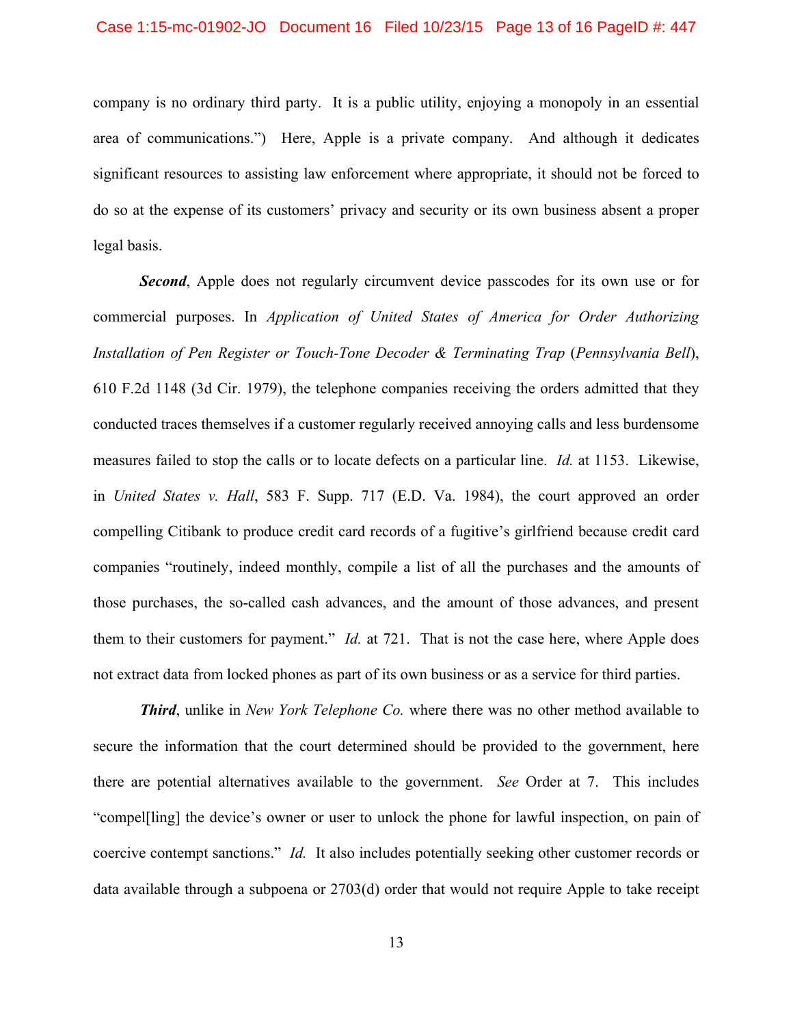company is no ordinary third party. It is a public utility, enjoying a monopoly in an essential area of communications.") Here, Apple is a private company. And although it dedicates significant resources to assisting law enforcement where appropriate, it should not be forced to do so at the expense of its customers' privacy and security or its own business absent a proper legal basis.

**Second**, Apple does not regularly circumvent device passcodes for its own use or for commercial purposes. In *Application of United States of America for Order Authorizing Installation of Pen Register or Touch-Tone Decoder & Terminating Trap (Pennsylvania Bell),* 610 F.2d 1148 (3d Cir. 1979), the telephone companies receiving the orders admitted that they conducted traces themselves if a customer regularly received annoying calls and less burdensome measures failed to stop the calls or to locate defects on a particular line. *Id.* at 1153. Likewise, in *United States v. Hall*, 583 F. Supp. 717 (E.D. Va. 1984), the court approved an order compelling Citibank to produce credit card records of a fugitive's girlfriend because credit card companies "routinely, indeed monthly, compile a list of all the purchases and the amounts of those purchases, the so-called cash advances, and the amount of those advances, and present them to their customers for payment." *Id.* at 721. That is not the case here, where Apple does not extract data from locked phones as part of its own business or as a service for third parties.

*Third*, unlike in *New York Telephone Co.* where there was no other method available to secure the information that the court determined should be provided to the government, here there are potential alternatives available to the government. *See* Order at 7. This includes "compel[ling] the device's owner or user to unlock the phone for lawful inspection, on pain of coercive contempt sanctions." *Id.* It also includes potentially seeking other customer records or data available through a subpoena or 2703(d) order that would not require Apple to take receipt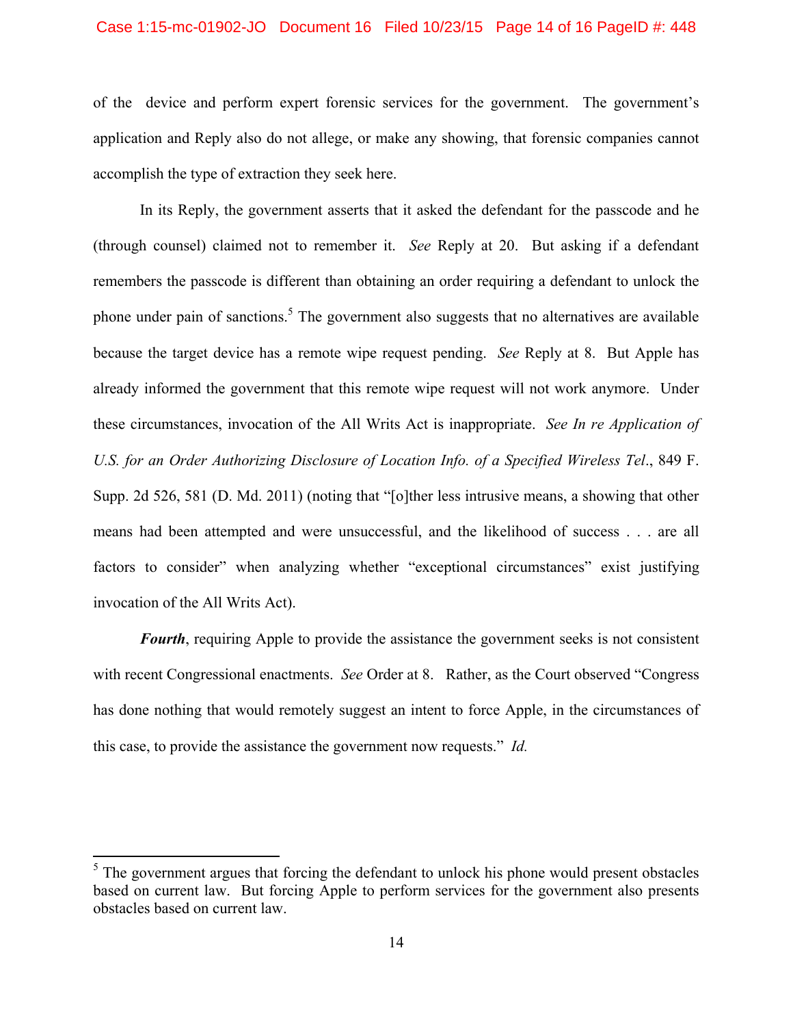### Case 1:15-mc-01902-JO Document 16 Filed 10/23/15 Page 14 of 16 PageID #: 448

of the device and perform expert forensic services for the government. The government's application and Reply also do not allege, or make any showing, that forensic companies cannot accomplish the type of extraction they seek here.

In its Reply, the government asserts that it asked the defendant for the passcode and he (through counsel) claimed not to remember it. *See* Reply at 20. But asking if a defendant remembers the passcode is different than obtaining an order requiring a defendant to unlock the phone under pain of sanctions.<sup>5</sup> The government also suggests that no alternatives are available because the target device has a remote wipe request pending. *See* Reply at 8. But Apple has already informed the government that this remote wipe request will not work anymore. Under these circumstances, invocation of the All Writs Act is inappropriate. *See In re Application of U.S. for an Order Authorizing Disclosure of Location Info. of a Specified Wireless Tel*., 849 F. Supp. 2d 526, 581 (D. Md. 2011) (noting that "[o]ther less intrusive means, a showing that other means had been attempted and were unsuccessful, and the likelihood of success . . . are all factors to consider" when analyzing whether "exceptional circumstances" exist justifying invocation of the All Writs Act).

*Fourth*, requiring Apple to provide the assistance the government seeks is not consistent with recent Congressional enactments. *See* Order at 8. Rather, as the Court observed "Congress has done nothing that would remotely suggest an intent to force Apple, in the circumstances of this case, to provide the assistance the government now requests." *Id.* 

 $<sup>5</sup>$  The government argues that forcing the defendant to unlock his phone would present obstacles</sup> based on current law. But forcing Apple to perform services for the government also presents obstacles based on current law.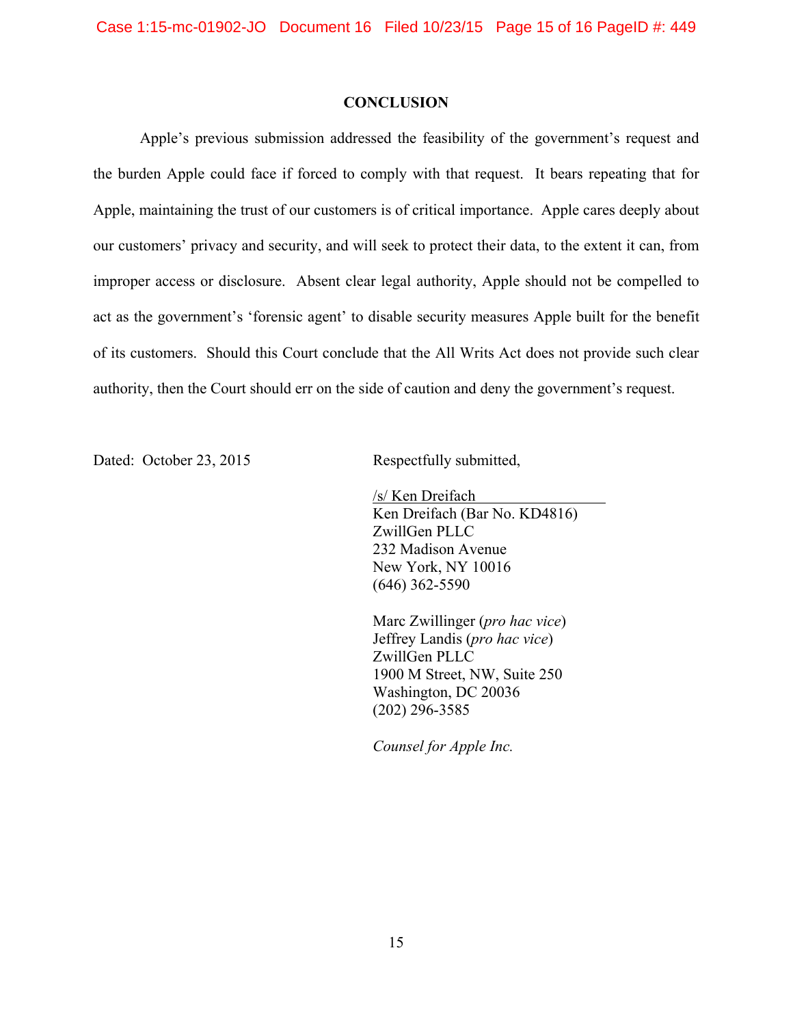### **CONCLUSION**

 Apple's previous submission addressed the feasibility of the government's request and the burden Apple could face if forced to comply with that request. It bears repeating that for Apple, maintaining the trust of our customers is of critical importance. Apple cares deeply about our customers' privacy and security, and will seek to protect their data, to the extent it can, from improper access or disclosure. Absent clear legal authority, Apple should not be compelled to act as the government's 'forensic agent' to disable security measures Apple built for the benefit of its customers. Should this Court conclude that the All Writs Act does not provide such clear authority, then the Court should err on the side of caution and deny the government's request.

Dated: October 23, 2015 Respectfully submitted,

 /s/ Ken Dreifach Ken Dreifach (Bar No. KD4816) ZwillGen PLLC 232 Madison Avenue New York, NY 10016 (646) 362-5590

 Marc Zwillinger (*pro hac vice*) Jeffrey Landis (*pro hac vice*) ZwillGen PLLC 1900 M Street, NW, Suite 250 Washington, DC 20036 (202) 296-3585

*Counsel for Apple Inc.*